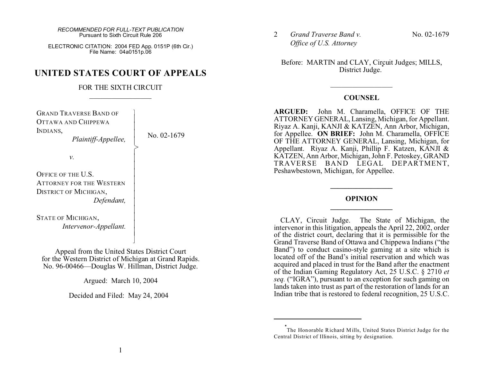ELECTRONIC CITATION: 2004 FED App. 0151P (6th Cir.) File Name: 04a0151p.06

# **UNITED STATES COURT OF APPEALS**

### FOR THE SIXTH CIRCUIT  $\mathcal{L}_\text{max}$  , where  $\mathcal{L}_\text{max}$

| <b>GRAND TRAVERSE BAND OF</b><br>OTTAWA AND CHIPPEWA<br>INDIANS,<br>Plaintiff-Appellee,                                                            | No. 02-1679 |
|----------------------------------------------------------------------------------------------------------------------------------------------------|-------------|
| ν.                                                                                                                                                 |             |
| OFFICE OF THE U.S.<br><b>ATTORNEY FOR THE WESTERN</b><br><b>DISTRICT OF MICHIGAN,</b><br>Defendant,<br>STATE OF MICHIGAN,<br>Intervenor-Appellant. |             |

Appeal from the United States District Court for the Western District of Michigan at Grand Rapids. No. 96-00466—Douglas W. Hillman, District Judge.

Argued: March 10, 2004

Decided and Filed: May 24, 2004

2 *Grand Traverse Band v. Office of U.S. Attorney*

No. 02-1679

Before: MARTIN and CLAY, Circuit Judges; MILLS, District Judge.<sup>†</sup>

### **COUNSEL**

 $\mathcal{L}_\text{max}$  , where  $\mathcal{L}_\text{max}$ 

**ARGUED:** John M. Charamella, OFFICE OF THE ATTORNEY GENERAL, Lansing, Michigan, for Appellant. Riyaz A. Kanji, KANJI & KATZEN, Ann Arbor, Michigan, for Appellee. **ON BRIEF:** John M. Charamella, OFFICE OF THE ATTORNEY GENERAL, Lansing, Michigan, for Appellant. Riyaz A. Kanji, Phillip F. Katzen, KANJI & KATZEN, Ann Arbor, Michigan, John F. Petoskey, GRAND TRAVERSE BAND LEGAL DEPARTMENT, Peshawbestown, Michigan, for Appellee.

## **OPINION \_\_\_\_\_\_\_\_\_\_\_\_\_\_\_\_\_**

**\_\_\_\_\_\_\_\_\_\_\_\_\_\_\_\_\_**

CLAY, Circuit Judge. The State of Michigan, the intervenor in this litigation, appeals the April 22, 2002, order of the district court, declaring that it is permissible for the Grand Traverse Band of Ottawa and Chippewa Indians ("the Band") to conduct casino-style gaming at a site which is located off of the Band's initial reservation and which was acquired and placed in trust for the Band after the enactment of the Indian Gaming Regulatory Act, 25 U.S.C. § 2710 *et seq.* ("IGRA"), pursuant to an exception for such gaming on lands taken into trust as part of the restoration of lands for an Indian tribe that is restored to federal recognition, 25 U.S.C.

**<sup>\*</sup>** The Honorable Richard Mills, United States District Judge for the Central District of Illinois, sitting by designation.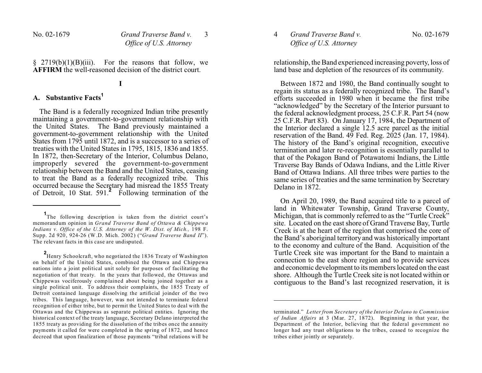$§$  2719(b)(1)(B)(iii). For the reasons that follow, we **AFFIRM** the well-reasoned decision of the district court.

#### **I**

# **A. Substantive Facts<sup>1</sup>**

The Band is a federally recognized Indian tribe presently maintaining a government-to-government relationship with the United States. The Band previously maintained a government-to-government relationship with the United States from 1795 until 1872, and is a successor to a series of treaties with the United States in 1795, 1815, 1836 and 1855. In 1872, then-Secretary of the Interior, Columbus Delano, improperly severed the government-to-government relationship between the Band and the United States, ceasing to treat the Band as a federally recognized tribe. This occurred because the Secretary had misread the 1855 Treaty of Detroit, 10 Stat. 591.**<sup>2</sup>** Following termination of the

**2** Henry Schoolcraft, who negotiated the 1836 Treaty of Washington on behalf of the United States, combined the Ottawa and Chippewa nations into a joint political unit solely for purposes of facilitating the negotiation of that treaty. In the years that followed, the Ottawas and Chippewas vociferously complained about being joined together as a single political unit. To address their complaints, the 1855 Treaty of Detroit contained language dissolving the artificial joinder of the two tribes. This language, however, was not intended to terminate federal recognition of either tribe, but to permit the United States to deal with the Ottawas and the Chippewas as separate political entities. Ignoring the historical context of the treaty language, Secretary Delano interpreted the 1855 treaty as providing for the dissolution of the tribes once the annuity payments it called for were completed in the spring of 1872, and hence decreed that upon finalization of those payments "tribal relations will be 4 *Grand Traverse Band v. Office of U.S. Attorney*

relationship, the Band experienced increasing poverty, loss of land base and depletion of the resources of its community.

Between 1872 and 1980, the Band continually sought to regain its status as a federally recognized tribe. The Band's efforts succeeded in 1980 when it became the first tribe "acknowledged" by the Secretary of the Interior pursuant to the federal acknowledgment process, 25 C.F.R. Part 54 (now 25 C.F.R. Part 83). On January 17, 1984, the Department of the Interior declared a single 12.5 acre parcel as the initial reservation of the Band.  $49$  Fed. Reg.  $2025$  (Jan. 17, 1984). The history of the Band's original recognition, executive termination and later re-recognition is essentially parallel to that of the Pokagon Band of Potawatomi Indians, the Little Traverse Bay Bands of Odawa Indians, and the Little River Band of Ottawa Indians. All three tribes were parties to the same series of treaties and the same termination by Secretary Delano in 1872.

On April 20, 1989, the Band acquired title to a parcel of land in Whitewater Township, Grand Traverse County, Michigan, that is commonly referred to as the "Turtle Creek" site. Located on the east shore of Grand Traverse Bay, Turtle Creek is at the heart of the region that comprised the core of the Band's aboriginal territory and was historically important to the economy and culture of the Band. Acquisition of the Turtle Creek site was important for the Band to maintain a connection to the east shore region and to provide services and economic development to its members located on the east shore. Although the Turtle Creek site is not located within or contiguous to the Band's last recognized reservation, it is

**<sup>1</sup>** The following description is taken from the district court's memorandum opinion in *Grand Traverse Band of Ottawa & Chippewa Indians v. Office of the U.S. Attorney of the W. Dist. of Mich.,* 198 F. Supp. 2d 920, 924-26 (W.D. Mich. 2002) ("*Grand Traverse Band II*"). The relevant facts in this case are undisputed.

terminated." *Letter from Secretary of the Interior Delano to Commission of Indian Affairs* at 3 (Mar. 27, 1872). Beginning in that year, the Department of the Interior, believing that the federal government no longer had any trust obligations to the tribes, ceased to recognize the tribes either jointly or separately.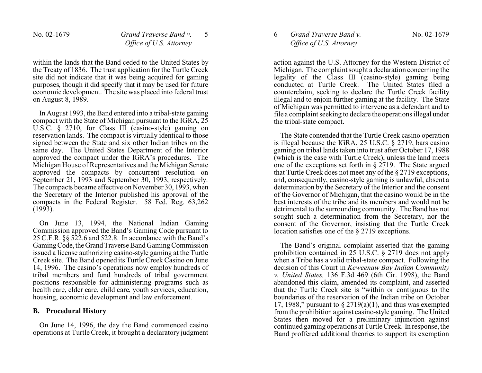within the lands that the Band ceded to the United States by the Treaty of 1836. The trust application for the Turtle Creek site did not indicate that it was being acquired for gaming purposes, though it did specify that it may be used for future economic development. The site was placed into federal trust on August 8, 1989.

In August 1993, the Band entered into a tribal-state gaming compact with the State of Michigan pursuant to the IGRA, 25 U.S.C. § 2710, for Class III (casino-style) gaming on reservation lands. The compact is virtually identical to those signed between the State and six other Indian tribes on the same day. The United States Department of the Interior approved the compact under the IGRA's procedures. The Michigan House of Representatives and the Michigan Senate approved the compacts by concurrent resolution on September 21, 1993 and September 30, 1993, respectively. The compacts became effective on November 30, 1993, when the Secretary of the Interior published his approval of the compacts in the Federal Register. 58 Fed. Reg. 63,262  $(1993)$ .

On June 13, 1994, the National Indian Gaming Commission approved the Band's Gaming Code pursuant to 25 C.F.R. §§ 522.6 and 522.8. In accordance with the Band's GamingCode, theGrandTraverse Band Gaming Commission issued a license authorizing casino-style gaming at the Turtle Creek site. The Band opened its Turtle Creek Casino on June 14, 1996. The casino's operations now employ hundreds of tribal members and fund hundreds of tribal government positions responsible for administering programs such as health care, elder care, child care, youth services, education, housing, economic development and law enforcement.

### **B. Procedural History**

On June 14, 1996, the day the Band commenced casino operations at Turtle Creek, it brought a declaratory judgment

# 6 *Grand Traverse Band v. Office of U.S. Attorney*

action against the U.S. Attorney for the Western District of Michigan. The complaint sought a declaration concerning the legality of the Class III (casino-style) gaming being conducted at Turtle Creek. The United States filed a counterclaim, seeking to declare the Turtle Creek facility illegal and to enjoin further gaming at the facility. The State of Michigan was permitted to intervene as a defendant and to file a complaint seeking to declare the operations illegal under the tribal-state compact.

The State contended that the Turtle Creek casino operation is illegal because the IGRA, 25 U.S.C. § 2719, bars casino gaming on tribal lands taken into trust after October 17, 1988 (which is the case with Turtle Creek), unless the land meets one of the exceptions set forth in § 2719. The State argued that Turtle Creek does not meet any of the § 2719 exceptions, and, consequently, casino-style gaming is unlawful, absent a determination by the Secretary of the Interior and the consent of the Governor of Michigan, that the casino would be in the best interests of the tribe and its members and would not be detrimental to the surrounding community. The Band has not sought such a determination from the Secretary, nor the consent of the Governor, insisting that the Turtle Creek location satisfies one of the § 2719 exceptions.

The Band's original complaint asserted that the gaming prohibition contained in 25 U.S.C. § 2719 does not apply when a Tribe has a valid tribal-state compact. Following the decision of this Court in *Keweenaw Bay Indian Community v. United States,* 136 F.3d 469 (6th Cir. 1998), the Band abandoned this claim, amended its complaint, and asserted that the Turtle Creek site is "within or contiguous to the boundaries of the reservation of the Indian tribe on October 17, 1988," pursuant to  $\S 2719(a)(1)$ , and thus was exempted from the prohibition against casino-style gaming. The United States then moved for a preliminary injunction against continued gaming operations at Turtle Creek. In response, the Band proffered additional theories to support its exemption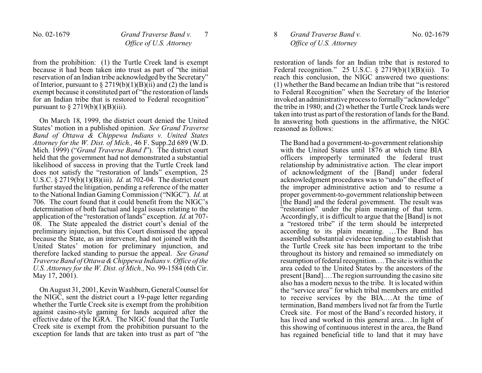from the prohibition: (1) the Turtle Creek land is exempt because it had been taken into trust as part of "the initial reservation of an Indian tribe acknowledged by the Secretary" of Interior, pursuant to  $\S 2719(b)(1)(B)(ii)$  and (2) the land is exempt because it constituted part of "the restoration of lands for an Indian tribe that is restored to Federal recognition" pursuant to  $\S 2719(b)(1)(B)(iii)$ .

On March 18, 1999, the district court denied the United States' motion in a published opinion. *See Grand Traverse Band of Ottawa & Chippewa Indians v. United States Attorney for the W. Dist. of Mich.,* 46 F. Supp.2d 689 (W.D. Mich. 1999) ("*Grand Traverse Band I*"). The district court held that the government had not demonstrated a substantial likelihood of success in proving that the Turtle Creek land does not satisfy the "restoration of lands" exemption, 25 U.S.C. § 2719(b)(1)(B)(iii). *Id.* at 702-04. The district court further stayed the litigation, pending a reference of the matter to the National Indian Gaming Commission ("NIGC"). *Id.* at 706. The court found that it could benefit from the NIGC's determination of both factual and legal issues relating to the application of the "restoration of lands" exception. *Id.* at 707- 08. The State appealed the district court's denial of the preliminary injunction, but this Court dismissed the appeal because the State, as an intervenor, had not joined with the United States' motion for preliminary injunction, and therefore lacked standing to pursue the appeal. *See Grand Traverse Band of Ottawa & Chippewa Indians v. Office of the U.S. Attorney for the W. Dist. of Mich.,* No. 99-1584 (6th Cir. May 17, 2001).

On August 31, 2001, Kevin Washburn, General Counselfor the NIGC, sent the district court a 19-page letter regarding whether the Turtle Creek site is exempt from the prohibition against casino-style gaming for lands acquired after the effective date of the IGRA. The NIGC found that the Turtle Creek site is exempt from the prohibition pursuant to the exception for lands that are taken into trust as part of "the

## 8 *Grand Traverse Band v. Office of U.S. Attorney*

restoration of lands for an Indian tribe that is restored to Federal recognition." 25 U.S.C.  $\S$  2719(b)(1)(B)(iii). To reach this conclusion, the NIGC answered two questions: (1) whether the Band became an Indian tribe that "is restored to Federal Recognition" when the Secretary of the Interior invoked an administrative process to formally "acknowledge" the tribe in 1980; and (2) whether the Turtle Creek lands were taken into trust as part of the restoration of lands for the Band. In answering both questions in the affirmative, the NIGC reasoned as follows:

The Band had a government-to-government relationship with the United States until 1876 at which time BIA officers improperly terminated the federal trust relationship by administrative action. The clear import of acknowledgment of the [Band] under federal acknowledgment procedures was to "undo" the effect of the improper administrative action and to resume a proper government-to-government relationship between [the Band] and the federal government. The result was "restoration" under the plain meaning of that term. Accordingly, it is difficult to argue that the [Band] is not a "restored tribe" if the term should be interpreted according to its plain meaning. …The Band has assembled substantial evidence tending to establish that the Turtle Creek site has been important to the tribe throughout its history and remained so immediately on resumption of federal recognition.…The site is within the area ceded to the United States by the ancestors of the present [Band].…The region surrounding the casino site also has a modern nexus to the tribe. It is located within the "service area" for which tribal members are entitled to receive services by the BIA.…At the time of termination, Band members lived not far from the Turtle Creek site. For most of the Band's recorded history, it has lived and worked in this general area.…In light of this showing of continuous interest in the area, the Band has regained beneficial title to land that it may have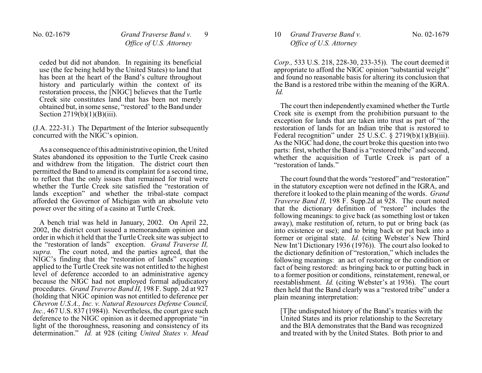ceded but did not abandon. In regaining its beneficial use (the fee being held by the United States) to land that has been at the heart of the Band's culture throughout history and particularly within the context of its restoration process, the [NIGC] believes that the Turtle Creek site constitutes land that has been not merely obtained but, in some sense, "restored' to the Band under Section  $2719(b)(1)(B)(iii)$ .

(J.A. 222-31.) The Department of the Interior subsequently concurred with the NIGC's opinion.

As a consequence of this administrative opinion, the United States abandoned its opposition to the Turtle Creek casino and withdrew from the litigation. The district court then permitted the Band to amend its complaint for a second time, to reflect that the only issues that remained for trial were whether the Turtle Creek site satisfied the "restoration of lands exception" and whether the tribal-state compact afforded the Governor of Michigan with an absolute veto power over the siting of a casino at Turtle Creek.

A bench trial was held in January, 2002. On April 22, 2002, the district court issued a memorandum opinion and order in which it held that the Turtle Creek site was subject to the "restoration of lands" exception. *Grand Traverse II, supra.* The court noted, and the parties agreed, that the NIGC's finding that the "restoration of lands" exception applied to the Turtle Creek site was not entitled to the highest level of deference accorded to an administrative agency because the NIGC had not employed formal adjudicatory procedures. *Grand Traverse Band II,* 198 F. Supp. 2d at 927 (holding that NIGC opinion was not entitled to deference per *Chevron U.S.A., Inc. v. Natural Resources Defense Council, Inc.*, 467 U.S. 837 (1984)). Nevertheless, the court gave such deference to the NIGC opinion as it deemed appropriate "in light of the thoroughness, reasoning and consistency of its determination." *Id.* at 928 (citing *United States v. Mead* 10 *Grand Traverse Band v. Office of U.S. Attorney*

*Corp.,* 533 U.S. 218, 228-30, 233-35)). The court deemed it appropriate to afford the NIGC opinion "substantial weight" and found no reasonable basis for altering its conclusion that the Band is a restored tribe within the meaning of the IGRA. *Id.*

The court then independently examined whether the Turtle Creek site is exempt from the prohibition pursuant to the exception for lands that are taken into trust as part of "the restoration of lands for an Indian tribe that is restored to Federal recognition" under 25 U.S.C. § 2719(b)(1)(B)(iii). As the NIGC had done, the court broke this question into two parts: first, whether the Band is a "restored tribe" and second, whether the acquisition of Turtle Creek is part of a "restoration of lands."

The court found that the words "restored" and "restoration" in the statutory exception were not defined in the IGRA, and therefore it looked to the plain meaning of the words. *Grand Traverse Band II,* 198 F. Supp.2d at 928. The court noted that the dictionary definition of "restore" includes the following meanings: to give back (as something lost or taken away), make restitution of, return, to put or bring back (as into existence or use); and to bring back or put back into a former or original state. *Id.* (citing Webster's New Third New Int'l Dictionary 1936 (1976)). The court also looked to the dictionary definition of "restoration," which includes the following meanings: an act of restoring or the condition or fact of being restored: as bringing back to or putting back in to a former position or conditions, reinstatement, renewal, or reestablishment. *Id.* (citing Webster's at 1936). The court then held that the Band clearly was a "restored tribe" under a plain meaning interpretation:

[T]he undisputed history of the Band's treaties with the United States and its prior relationship to the Secretary and the BIA demonstrates that the Band was recognized and treated with by the United States. Both prior to and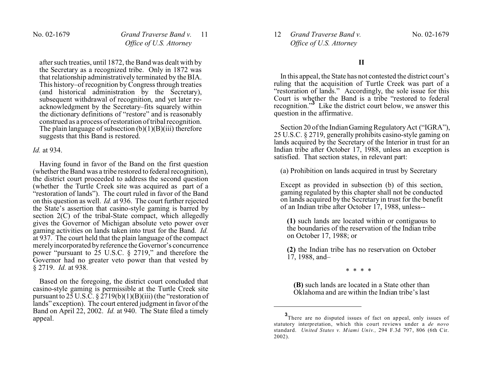after such treaties, until 1872, the Band was dealt with by the Secretary as a recognized tribe. Only in 1872 was that relationship administratively terminated by the BIA. This history–of recognition by Congress through treaties (and historical administration by the Secretary), subsequent withdrawal of recognition, and yet later reacknowledgment by the Secretary–fits squarely within the dictionary definitions of "restore" and is reasonably construed as a process of restoration of tribal recognition. The plain language of subsection  $(b)(1)(B)(iii)$  therefore suggests that this Band is restored.

#### *Id.* at 934.

Having found in favor of the Band on the first question (whether the Band was a tribe restored to federal recognition), the district court proceeded to address the second question (whether the Turtle Creek site was acquired as part of a "restoration of lands"). The court ruled in favor of the Band on this question as well. *Id.* at 936. The court further rejected the State's assertion that casino-style gaming is barred by section 2(C) of the tribal-State compact, which allegedly gives the Governor of Michigan absolute veto power over gaming activities on lands taken into trust for the Band. *Id.* at 937. The court held that the plain language of the compact merely incorporated by reference the Governor's concurrence power "pursuant to 25 U.S.C. § 2719," and therefore the Governor had no greater veto power than that vested by § 2719. *Id.* at 938.

Based on the foregoing, the district court concluded that casino-style gaming is permissible at the Turtle Creek site pursuant to  $25$  U.S.C.  $\S 2719(b)(1)(B)(iii)$  (the "restoration of lands" exception). The court entered judgment in favor of the Band on April 22, 2002. *Id.* at 940. The State filed a timely appeal.

12 *Grand Traverse Band v. Office of U.S. Attorney*

### **II**

In this appeal, the State has not contested the district court's ruling that the acquisition of Turtle Creek was part of a "restoration of lands." Accordingly, the sole issue for this Court is whether the Band is a tribe "restored to federal recognition."**<sup>3</sup>** Like the district court below, we answer this question in the affirmative.

Section 20 of the Indian Gaming Regulatory Act ("IGRA"), 25 U.S.C. § 2719, generally prohibits casino-style gaming on lands acquired by the Secretary of the Interior in trust for an Indian tribe after October 17, 1988, unless an exception is satisfied. That section states, in relevant part:

(a) Prohibition on lands acquired in trust by Secretary

Except as provided in subsection (b) of this section, gaming regulated by this chapter shall not be conducted on lands acquired by the Secretary in trust for the benefit of an Indian tribe after October 17, 1988, unless--

**(1)** such lands are located within or contiguous to the boundaries of the reservation of the Indian tribe on October 17, 1988; or

**(2)** the Indian tribe has no reservation on October 17, 1988, and–

\* \* \* \*

**(B)** such lands are located in a State other than Oklahoma and are within the Indian tribe's last

**<sup>3</sup>** There are no disputed issues of fact on appeal, only issues of statutory interpretation, which this court reviews under a *de novo* standard. *United States v. Miami Univ.,* 294 F.3d 797, 806 (6th Cir. 2002).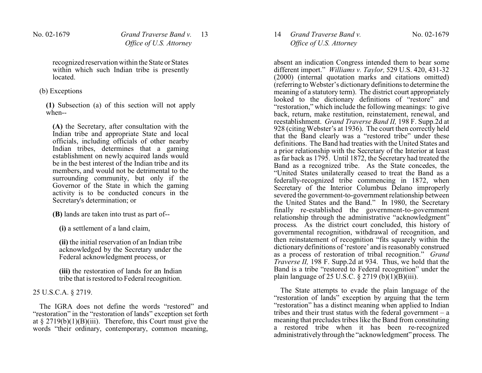recognized reservation within the State or States within which such Indian tribe is presently located.

### (b) Exceptions

**(1)** Subsection (a) of this section will not apply when--

**(A)** the Secretary, after consultation with the Indian tribe and appropriate State and local officials, including officials of other nearby Indian tribes, determines that a gaming establishment on newly acquired lands would be in the best interest of the Indian tribe and its members, and would not be detrimental to the surrounding community, but only if the Governor of the State in which the gaming activity is to be conducted concurs in the Secretary's determination; or

**(B)** lands are taken into trust as part of--

**(i)** a settlement of a land claim,

**(ii)** the initial reservation of an Indian tribe acknowledged by the Secretary under the Federal acknowledgment process, or

**(iii)** the restoration of lands for an Indian tribe that is restored to Federal recognition.

25 U.S.C.A. § 2719.

The IGRA does not define the words "restored" and "restoration" in the "restoration of lands" exception set forth at  $\S 2719(b)(1)(B)(iii)$ . Therefore, this Court must give the words "their ordinary, contemporary, common meaning,

14 *Grand Traverse Band v. Office of U.S. Attorney*

absent an indication Congress intended them to bear some different import." *Williams v. Taylor,* 529 U.S. 420, 431-32 (2000) (internal quotation marks and citations omitted) (referring to Webster's dictionary definitions to determine the meaning of a statutory term). The district court appropriately looked to the dictionary definitions of "restore" and "restoration," which include the following meanings: to give back, return, make restitution, reinstatement, renewal, and reestablishment. *Grand Traverse Band II,* 198 F. Supp.2d at 928 (citing Webster's at 1936). The court then correctly held that the Band clearly was a "restored tribe" under these definitions. The Band had treaties with the United States and a prior relationship with the Secretary of the Interior at least as far back as 1795. Until 1872, the Secretary had treated the Band as a recognized tribe. As the State concedes, the "United States unilaterally ceased to treat the Band as a federally-recognized tribe commencing in 1872, when Secretary of the Interior Columbus Delano improperly severed the government-to-government relationship between the United States and the Band." In 1980, the Secretary finally re-established the government-to-government relationship through the administrative "acknowledgment" process. As the district court concluded, this history of governmental recognition, withdrawal of recognition, and then reinstatement of recognition "fits squarely within the dictionary definitions of 'restore' and is reasonably construed as a process of restoration of tribal recognition." *Grand Traverse II,* 198 F. Supp.2d at 934. Thus, we hold that the Band is a tribe "restored to Federal recognition" under the plain language of 25 U.S.C.  $\S 2719$  (b)(1)(B)(iii).

The State attempts to evade the plain language of the "restoration of lands" exception by arguing that the term "restoration" has a distinct meaning when applied to Indian tribes and their trust status with the federal government  $-$  a meaning that precludes tribes like the Band from constituting a restored tribe when it has been re-recognized administratively through the "acknowledgment" process. The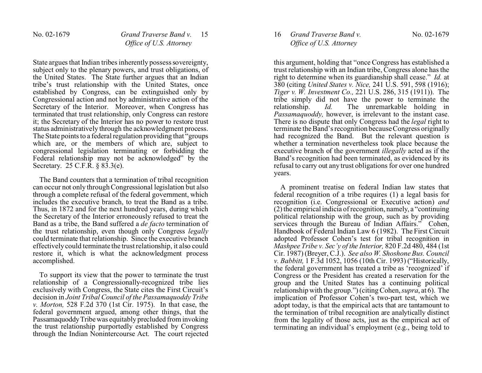State argues that Indian tribes inherently possess sovereignty, subject only to the plenary powers, and trust obligations, of the United States. The State further argues that an Indian tribe's trust relationship with the United States, once established by Congress, can be extinguished only by Congressional action and not by administrative action of the Secretary of the Interior. Moreover, when Congress has terminated that trust relationship, only Congress can restore it; the Secretary of the Interior has no power to restore trust status administratively through the acknowledgment process. The State points to a federal regulation providing that "groups" which are, or the members of which are, subject to congressional legislation terminating or forbidding the Federal relationship may not be acknowledged" by the Secretary. 25 C.F.R. § 83.3(e).

The Band counters that a termination of tribal recognition can occur not only through Congressional legislation but also through a complete refusal of the federal government, which includes the executive branch, to treat the Band as a tribe. Thus, in 1872 and for the next hundred years, during which the Secretary of the Interior erroneously refused to treat the Band as a tribe, the Band suffered a *de facto* termination of the trust relationship, even though only Congress *legally* could terminate that relationship. Since the executive branch effectively could terminate the trust relationship, it also could restore it, which is what the acknowledgment process accomplished.

To support its view that the power to terminate the trust relationship of a Congressionally-recognized tribe lies exclusively with Congress, the State cites the First Circuit's decision in *Joint Tribal Council of the Passamaquoddy Tribe v. Morton,* 528 F.2d 370 (1st Cir. 1975). In that case, the federal government argued, among other things, that the PassamaquoddyTribe was equitably precluded from invoking the trust relationship purportedly established by Congress through the Indian Nonintercourse Act. The court rejected

# 16 *Grand Traverse Band v. Office of U.S. Attorney*

this argument, holding that "once Congress has established a trust relationship with an Indian tribe, Congress alone has the right to determine when its guardianship shall cease." *Id.* at 380 (citing *United States v. Nice,* 241 U.S. 591, 598 (1916); *Tiger v. W. Investment Co.,* 221 U.S. 286, 315 (1911)). The tribe simply did not have the power to terminate the relationship.  $Id$ . The unremarkable holding in The unremarkable holding in *Passamaquoddy,* however, is irrelevant to the instant case. There is no dispute that only Congress had the *legal* right to terminate the Band's recognition because Congress originally had recognized the Band. But the relevant question is whether a termination nevertheless took place because the executive branch of the government *illegally* acted as if the Band's recognition had been terminated, as evidenced by its refusal to carry out any trust obligations for over one hundred years.

A prominent treatise on federal Indian law states that federal recognition of a tribe requires (1) a legal basis for recognition (i.e. Congressional or Executive action) *and* (2) the empirical indicia of recognition, namely, a "continuing political relationship with the group, such as by providing services through the Bureau of Indian Affairs." Cohen, Handbook of Federal Indian Law 6 (1982). The First Circuit adopted Professor Cohen's test for tribal recognition in *Mashpee Tribe v. Sec'y of the Interior,* 820 F.2d 480, 484 (1st Cir. 1987) (Breyer, C.J.). *See also W. Shoshone Bus. Council v. Babbitt,* 1 F.3d 1052, 1056 (10th Cir. 1993) ("Historically, the federal government has treated a tribe as 'recognized' if Congress or the President has created a reservation for the group and the United States has a continuing political relationship with the group.") (citing Cohen, *supra*, at 6). The implication of Professor Cohen's two-part test, which we adopt today, is that the empirical acts that are tantamount to the termination of tribal recognition are analytically distinct from the legality of those acts, just as the empirical act of terminating an individual's employment (e.g., being told to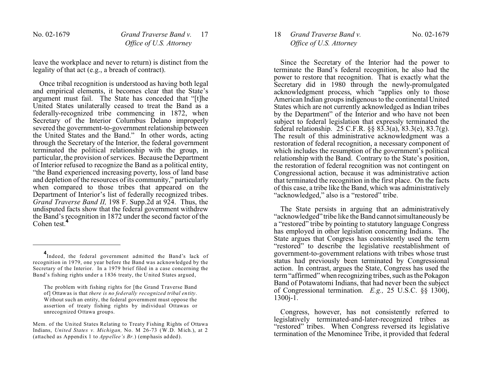leave the workplace and never to return) is distinct from the legality of that act (e.g., a breach of contract).

Once tribal recognition is understood as having both legal and empirical elements, it becomes clear that the State's argument must fail. The State has conceded that "[t]he United States unilaterally ceased to treat the Band as a federally-recognized tribe commencing in 1872, when Secretary of the Interior Columbus Delano improperly severed the government-to-government relationship between the United States and the Band." In other words, acting through the Secretary of the Interior, the federal government terminated the political relationship with the group, in particular, the provision of services. Because the Department of Interior refused to recognize the Band as a political entity, "the Band experienced increasing poverty, loss of land base and depletion of the resources of its community," particularly when compared to those tribes that appeared on the Department of Interior's list of federally recognized tribes. *Grand Traverse Band II,* 198 F. Supp.2d at 924. Thus, the undisputed facts show that the federal government withdrew the Band's recognition in 1872 under the second factor of the Cohen test.**<sup>4</sup>**

18 *Grand Traverse Band v. Office of U.S. Attorney*

Since the Secretary of the Interior had the power to terminate the Band's federal recognition, he also had the power to restore that recognition. That is exactly what the Secretary did in 1980 through the newly-promulgated acknowledgment process, which "applies only to those American Indian groups indigenous to the continental United States which are not currently acknowledged as Indian tribes by the Department" of the Interior and who have not been subject to federal legislation that expressly terminated the federal relationship. 25 C.F.R. §§ 83.3(a), 83.3(e), 83.7(g). The result of this administrative acknowledgment was a restoration of federal recognition, a necessary component of which includes the resumption of the government's political relationship with the Band. Contrary to the State's position, the restoration of federal recognition was not contingent on Congressional action, because it was administrative action that terminated the recognition in the first place. On the facts of this case, a tribe like the Band, which was administratively "acknowledged," also is a "restored" tribe.

The State persists in arguing that an administratively "acknowledged" tribe like the Band cannot simultaneously be a "restored" tribe by pointing to statutory language Congress has employed in other legislation concerning Indians. The State argues that Congress has consistently used the term "restored" to describe the legislative reestablishment of government-to-government relations with tribes whose trust status had previously been terminated by Congressional action. In contrast, argues the State, Congress has used the term "affirmed" when recognizing tribes, such as the Pokagon Band of Potawatomi Indians, that had never been the subject of Congressional termination. *E.g.,* 25 U.S.C. §§ 1300j, 1300j-1.

Congress, however, has not consistently referred to legislatively terminated-and-later-recognized tribes as "restored" tribes. When Congress reversed its legislative termination of the Menominee Tribe, it provided that federal

**<sup>4</sup>** Indeed, the federal government admitted the Band's lack of recognition in 1979, one year before the Band was acknowledged by the Secretary of the Interior. In a 1979 brief filed in a case concerning the Band's fishing rights under a 1836 treaty, the United States argued,

The problem with fishing rights for [the Grand Traverse Band of] Ottawas is that *there is no federally recognized tribal entity*. Without such an entity, the federal government must oppose the assertion of treaty fishing rights by individual Ottawas or unrecognized Ottawa groups.

Mem. of the United States Relating to Treaty Fishing Rights of Ottawa Indians, *United States v. Michigan,* No. M 26-73 (W.D. Mich.), at 2 (attached as Appendix 1 to *Appellee's Br.*) (emphasis added).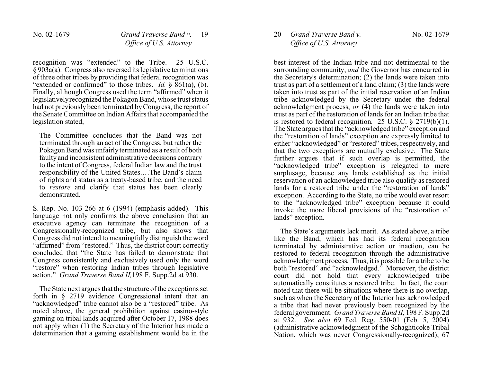recognition was "extended" to the Tribe. 25 U.S.C. § 903a(a). Congress also reversed its legislative terminations of three other tribes by providing that federal recognition was "extended or confirmed" to those tribes. *Id.* § 861(a), (b). Finally, although Congress used the term "affirmed" when it legislatively recognized the Pokagon Band, whose trust status had not previously been terminated by Congress, the report of the Senate Committee on Indian Affairs that accompanied the legislation stated,

The Committee concludes that the Band was not terminated through an act of the Congress, but rather the Pokagon Band was unfairly terminated as a result of both faulty and inconsistent administrative decisions contrary to the intent of Congress, federal Indian law and the trust responsibility of the United States.…The Band's claim of rights and status as a treaty-based tribe, and the need to *restore* and clarify that status has been clearly demonstrated.

S. Rep. No. 103-266 at 6 (1994) (emphasis added). This language not only confirms the above conclusion that an executive agency can terminate the recognition of a Congressionally-recognized tribe, but also shows that Congress did not intend to meaningfully distinguish the word "affirmed" from "restored." Thus, the district court correctly concluded that "the State has failed to demonstrate that Congress consistently and exclusively used only the word "restore" when restoring Indian tribes through legislative action." *Grand Traverse Band II,*198 F. Supp.2d at 930.

The State next argues that the structure of the exceptions set forth in § 2719 evidence Congressional intent that an "acknowledged" tribe cannot also be a "restored" tribe. As noted above, the general prohibition against casino-style gaming on tribal lands acquired after October 17, 1988 does not apply when (1) the Secretary of the Interior has made a determination that a gaming establishment would be in the 20 *Grand Traverse Band v. Office of U.S. Attorney*

best interest of the Indian tribe and not detrimental to the surrounding community, *and* the Governor has concurred in the Secretary's determination; (2) the lands were taken into trust as part of a settlement of a land claim; (3) the lands were taken into trust as part of the initial reservation of an Indian tribe acknowledged by the Secretary under the federal acknowledgment process; *or* (4) the lands were taken into trust as part of the restoration of lands for an Indian tribe that is restored to federal recognition. 25 U.S.C. § 2719(b)(1). The State argues that the "acknowledged tribe" exception and the "restoration of lands" exception are expressly limited to either "acknowledged" or "restored" tribes, respectively, and that the two exceptions are mutually exclusive. The State further argues that if such overlap is permitted, the "acknowledged tribe" exception is relegated to mere surplusage, because any lands established as the initial reservation of an acknowledged tribe also qualify as restored lands for a restored tribe under the "restoration of lands" exception. According to the State, no tribe would ever resort to the "acknowledged tribe" exception because it could invoke the more liberal provisions of the "restoration of lands" exception.

The State's arguments lack merit. As stated above, a tribe like the Band, which has had its federal recognition terminated by administrative action or inaction, can be restored to federal recognition through the administrative acknowledgment process. Thus, it is possible for a tribe to be both "restored" and "acknowledged." Moreover, the district court did not hold that every acknowledged tribe automatically constitutes a restored tribe. In fact, the court noted that there will be situations where there is no overlap, such as when the Secretary of the Interior has acknowledged a tribe that had never previously been recognized by the federal government. *Grand Traverse Band II,* 198 F. Supp.2d at 932. *See also* 69 Fed. Reg. 550-01 (Feb. 5, 2004) (administrative acknowledgment of the Schaghticoke Tribal Nation, which was never Congressionally-recognized); 67